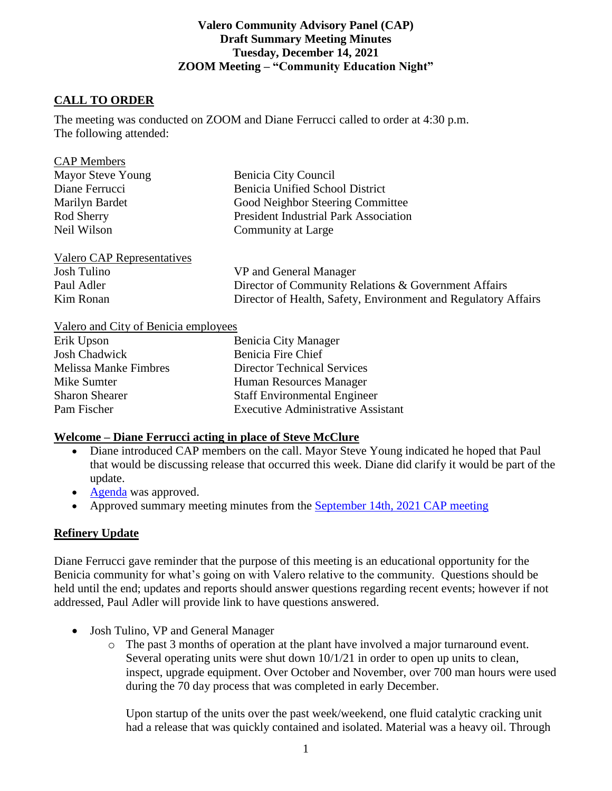### **Valero Community Advisory Panel (CAP) Draft Summary Meeting Minutes Tuesday, December 14, 2021 ZOOM Meeting – "Community Education Night"**

## **CALL TO ORDER**

 $C_{\mathbf{A}}$ 

The meeting was conducted on ZOOM and Diane Ferrucci called to order at 4:30 p.m. The following attended:

| <b>CAP Members</b>         |                                                                |
|----------------------------|----------------------------------------------------------------|
| Mayor Steve Young          | Benicia City Council                                           |
| Diane Ferrucci             | <b>Benicia Unified School District</b>                         |
| Marilyn Bardet             | Good Neighbor Steering Committee                               |
| Rod Sherry                 | <b>President Industrial Park Association</b>                   |
| Neil Wilson                | Community at Large                                             |
| Valero CAP Representatives |                                                                |
| Josh Tulino                | VP and General Manager                                         |
| Paul Adler                 | Director of Community Relations & Government Affairs           |
| Kim Ronan                  | Director of Health, Safety, Environment and Regulatory Affairs |
|                            |                                                                |

#### Valero and City of Benicia employees

| Erik Upson                   | Benicia City Manager                      |
|------------------------------|-------------------------------------------|
| <b>Josh Chadwick</b>         | Benicia Fire Chief                        |
| <b>Melissa Manke Fimbres</b> | <b>Director Technical Services</b>        |
| Mike Sumter                  | Human Resources Manager                   |
| <b>Sharon Shearer</b>        | <b>Staff Environmental Engineer</b>       |
| Pam Fischer                  | <b>Executive Administrative Assistant</b> |

#### **Welcome – Diane Ferrucci acting in place of Steve McClure**

- Diane introduced CAP members on the call. Mayor Steve Young indicated he hoped that Paul that would be discussing release that occurred this week. Diane did clarify it would be part of the update.
- [Agenda](https://e348c262-4b2c-47d9-952b-2d65140aa9a2.filesusr.com/ugd/20ec48_e51809a0bf664eca9bcf7c270ef019e0.pdf) was approved.
- Approved summary meeting minutes from the **September 14th, 2021 CAP meeting**

### **Refinery Update**

Diane Ferrucci gave reminder that the purpose of this meeting is an educational opportunity for the Benicia community for what's going on with Valero relative to the community. Questions should be held until the end; updates and reports should answer questions regarding recent events; however if not addressed, Paul Adler will provide link to have questions answered.

- Josh Tulino, VP and General Manager
	- o The past 3 months of operation at the plant have involved a major turnaround event. Several operating units were shut down 10/1/21 in order to open up units to clean, inspect, upgrade equipment. Over October and November, over 700 man hours were used during the 70 day process that was completed in early December.

Upon startup of the units over the past week/weekend, one fluid catalytic cracking unit had a release that was quickly contained and isolated. Material was a heavy oil. Through